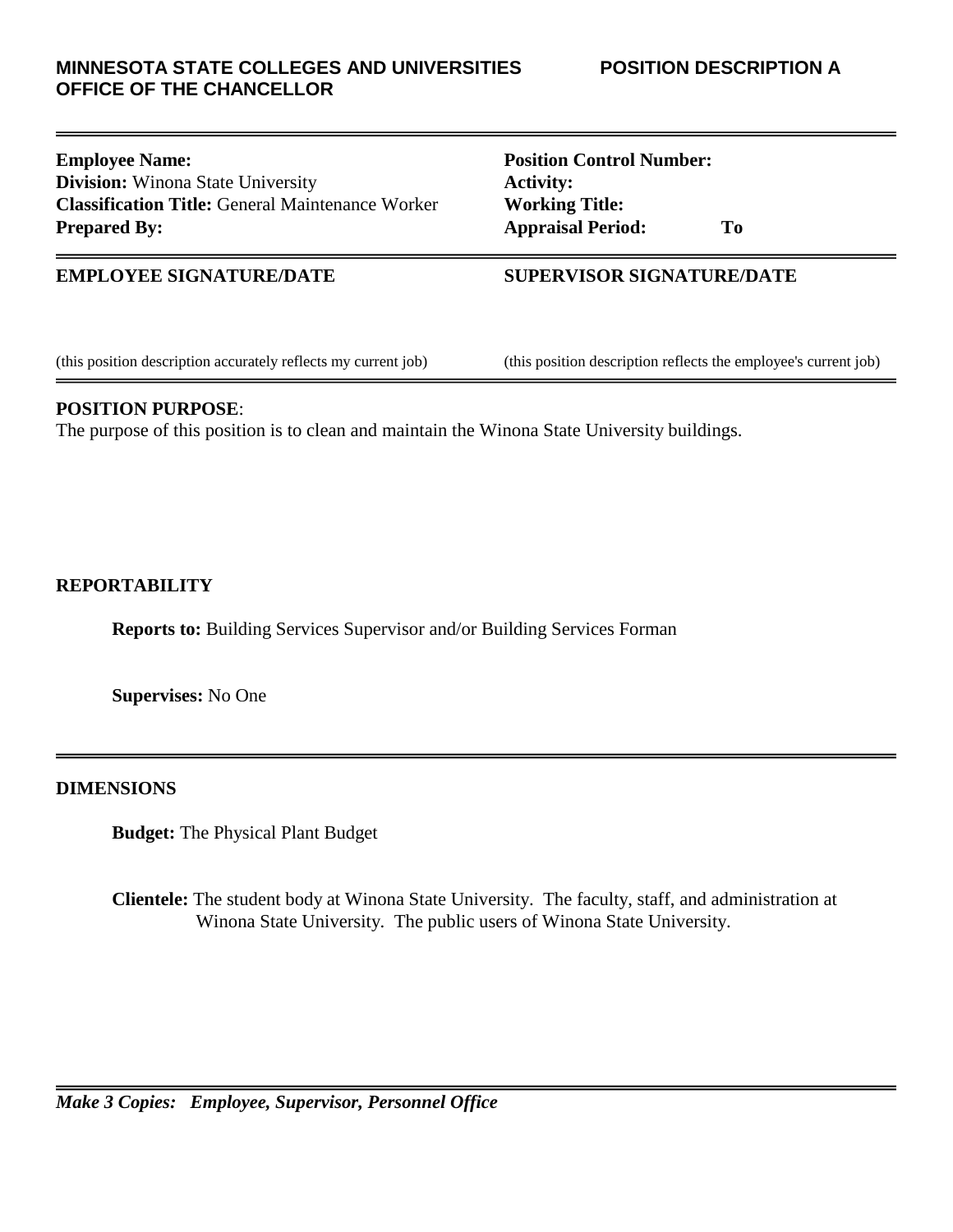## **MINNESOTA STATE COLLEGES AND UNIVERSITIES POSITION DESCRIPTION A OFFICE OF THE CHANCELLOR**

## **Employee Name: Position Control Number: Division:** Winona State University **Activity: Classification Title:** General Maintenance Worker **Working Title: Prepared By: Appraisal Period: To**

## **EMPLOYEE SIGNATURE/DATE SUPERVISOR SIGNATURE/DATE**

(this position description accurately reflects my current job) (this position description reflects the employee's current job)

## **POSITION PURPOSE**:

The purpose of this position is to clean and maintain the Winona State University buildings.

# **REPORTABILITY**

**Reports to:** Building Services Supervisor and/or Building Services Forman

**Supervises:** No One

# **DIMENSIONS**

**Budget:** The Physical Plant Budget

**Clientele:** The student body at Winona State University. The faculty, staff, and administration at Winona State University. The public users of Winona State University.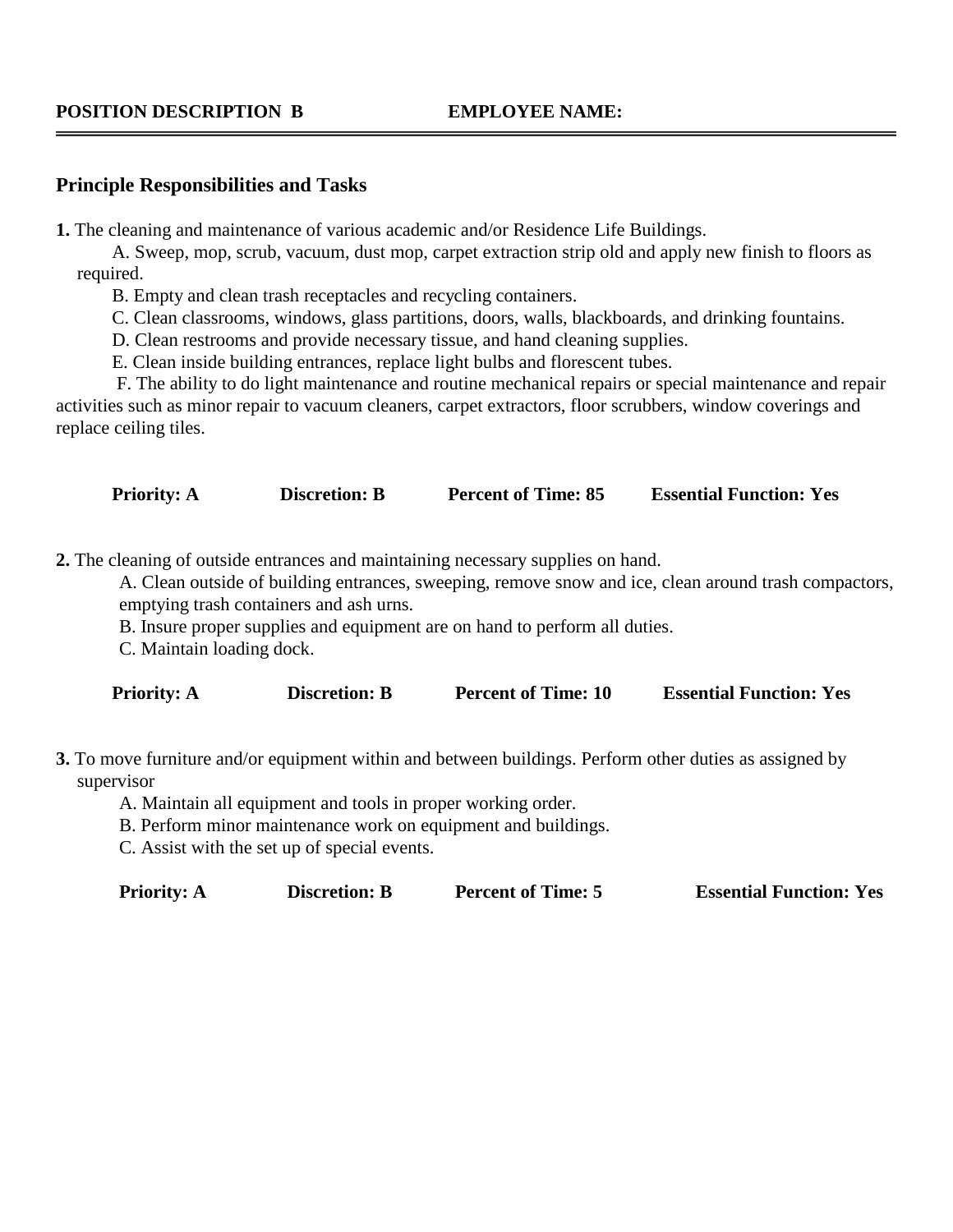### **POSITION DESCRIPTION B EMPLOYEE NAME:**

#### **Principle Responsibilities and Tasks**

**1.** The cleaning and maintenance of various academic and/or Residence Life Buildings.

A. Sweep, mop, scrub, vacuum, dust mop, carpet extraction strip old and apply new finish to floors as required.

B. Empty and clean trash receptacles and recycling containers.

C. Clean classrooms, windows, glass partitions, doors, walls, blackboards, and drinking fountains.

D. Clean restrooms and provide necessary tissue, and hand cleaning supplies.

E. Clean inside building entrances, replace light bulbs and florescent tubes.

F. The ability to do light maintenance and routine mechanical repairs or special maintenance and repair activities such as minor repair to vacuum cleaners, carpet extractors, floor scrubbers, window coverings and replace ceiling tiles.

**Priority: A Discretion: B Percent of Time: 85 Essential Function: Yes** 

**2.** The cleaning of outside entrances and maintaining necessary supplies on hand.

A. Clean outside of building entrances, sweeping, remove snow and ice, clean around trash compactors, emptying trash containers and ash urns.

B. Insure proper supplies and equipment are on hand to perform all duties.

C. Maintain loading dock.

**Priority: A Discretion: B Percent of Time: 10 Essential Function: Yes** 

**3.** To move furniture and/or equipment within and between buildings. Perform other duties as assigned by supervisor

A. Maintain all equipment and tools in proper working order.

B. Perform minor maintenance work on equipment and buildings.

C. Assist with the set up of special events.

**Priority: A Discretion: B Percent of Time: 5** Essential Function: Yes